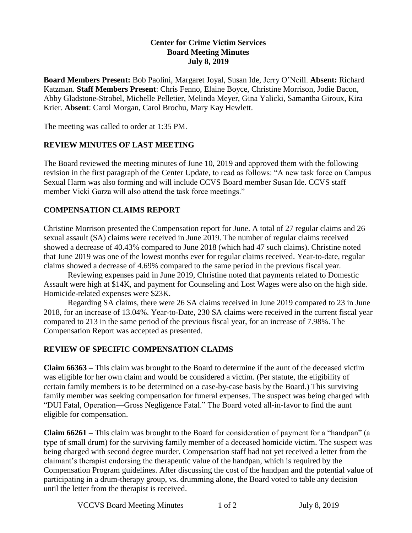### **Center for Crime Victim Services Board Meeting Minutes July 8, 2019**

**Board Members Present:** Bob Paolini, Margaret Joyal, Susan Ide, Jerry O'Neill. **Absent:** Richard Katzman. **Staff Members Present**: Chris Fenno, Elaine Boyce, Christine Morrison, Jodie Bacon, Abby Gladstone-Strobel, Michelle Pelletier, Melinda Meyer, Gina Yalicki, Samantha Giroux, Kira Krier. **Absent**: Carol Morgan, Carol Brochu, Mary Kay Hewlett.

The meeting was called to order at 1:35 PM.

### **REVIEW MINUTES OF LAST MEETING**

The Board reviewed the meeting minutes of June 10, 2019 and approved them with the following revision in the first paragraph of the Center Update, to read as follows: "A new task force on Campus Sexual Harm was also forming and will include CCVS Board member Susan Ide. CCVS staff member Vicki Garza will also attend the task force meetings."

# **COMPENSATION CLAIMS REPORT**

Christine Morrison presented the Compensation report for June. A total of 27 regular claims and 26 sexual assault (SA) claims were received in June 2019. The number of regular claims received showed a decrease of 40.43% compared to June 2018 (which had 47 such claims). Christine noted that June 2019 was one of the lowest months ever for regular claims received. Year-to-date, regular claims showed a decrease of 4.69% compared to the same period in the previous fiscal year.

Reviewing expenses paid in June 2019, Christine noted that payments related to Domestic Assault were high at \$14K, and payment for Counseling and Lost Wages were also on the high side. Homicide-related expenses were \$23K.

Regarding SA claims, there were 26 SA claims received in June 2019 compared to 23 in June 2018, for an increase of 13.04%. Year-to-Date, 230 SA claims were received in the current fiscal year compared to 213 in the same period of the previous fiscal year, for an increase of 7.98%. The Compensation Report was accepted as presented.

### **REVIEW OF SPECIFIC COMPENSATION CLAIMS**

**Claim 66363 –** This claim was brought to the Board to determine if the aunt of the deceased victim was eligible for her own claim and would be considered a victim. (Per statute, the eligibility of certain family members is to be determined on a case-by-case basis by the Board.) This surviving family member was seeking compensation for funeral expenses. The suspect was being charged with "DUI Fatal, Operation—Gross Negligence Fatal." The Board voted all-in-favor to find the aunt eligible for compensation.

**Claim 66261 –** This claim was brought to the Board for consideration of payment for a "handpan" (a type of small drum) for the surviving family member of a deceased homicide victim. The suspect was being charged with second degree murder. Compensation staff had not yet received a letter from the claimant's therapist endorsing the therapeutic value of the handpan, which is required by the Compensation Program guidelines. After discussing the cost of the handpan and the potential value of participating in a drum-therapy group, vs. drumming alone, the Board voted to table any decision until the letter from the therapist is received.

VCCVS Board Meeting Minutes 1 of 2 July 8, 2019